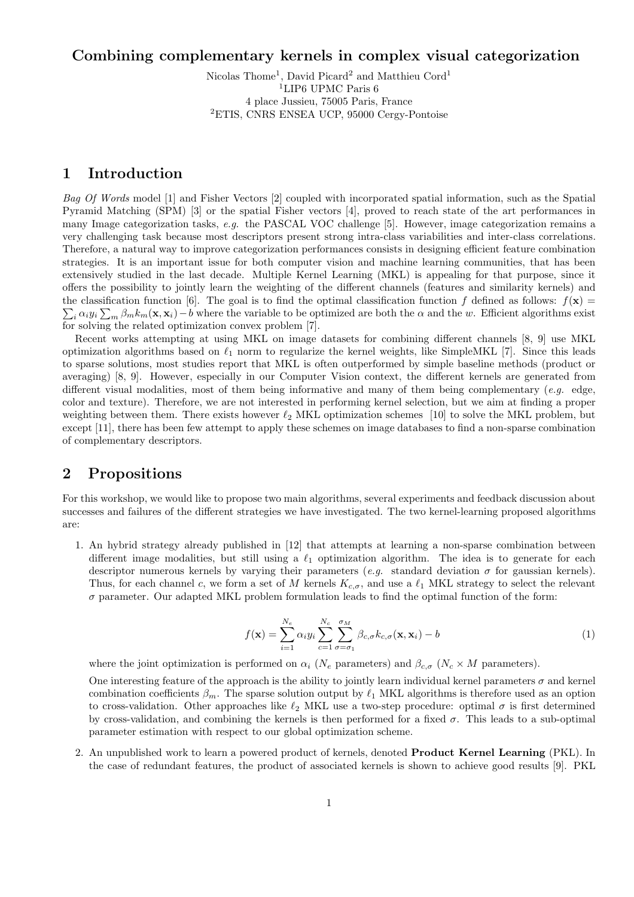# Combining complementary kernels in complex visual categorization

Nicolas Thome<sup>1</sup>, David Picard<sup>2</sup> and Matthieu Cord<sup>1</sup>  $^{1}$  LIP6 UPMC Paris  $6\,$ 4 place Jussieu, 75005 Paris, France <sup>2</sup>ETIS, CNRS ENSEA UCP, 95000 Cergy-Pontoise

## 1 Introduction

Bag Of Words model [1] and Fisher Vectors [2] coupled with incorporated spatial information, such as the Spatial Pyramid Matching (SPM) [3] or the spatial Fisher vectors [4], proved to reach state of the art performances in many Image categorization tasks, e.g. the PASCAL VOC challenge [5]. However, image categorization remains a very challenging task because most descriptors present strong intra-class variabilities and inter-class correlations. Therefore, a natural way to improve categorization performances consists in designing efficient feature combination strategies. It is an important issue for both computer vision and machine learning communities, that has been extensively studied in the last decade. Multiple Kernel Learning (MKL) is appealing for that purpose, since it offers the possibility to jointly learn the weighting of the different channels (features and similarity kernels) and  $\sum_i \alpha_i y_i \sum_m \beta_m k_m(\mathbf{x}, \mathbf{x}_i) - b$  where the variable to be optimized are both the  $\alpha$  and the w. Efficient algorithms exist the classification function [6]. The goal is to find the optimal classification function f defined as follows:  $f(\mathbf{x}) =$ for solving the related optimization convex problem [7].

Recent works attempting at using MKL on image datasets for combining different channels [8, 9] use MKL optimization algorithms based on  $\ell_1$  norm to regularize the kernel weights, like SimpleMKL [7]. Since this leads to sparse solutions, most studies report that MKL is often outperformed by simple baseline methods (product or averaging) [8, 9]. However, especially in our Computer Vision context, the different kernels are generated from different visual modalities, most of them being informative and many of them being complementary (e.g. edge, color and texture). Therefore, we are not interested in performing kernel selection, but we aim at finding a proper weighting between them. There exists however  $\ell_2$  MKL optimization schemes [10] to solve the MKL problem, but except [11], there has been few attempt to apply these schemes on image databases to find a non-sparse combination of complementary descriptors.

# 2 Propositions

For this workshop, we would like to propose two main algorithms, several experiments and feedback discussion about successes and failures of the different strategies we have investigated. The two kernel-learning proposed algorithms are:

1. An hybrid strategy already published in [12] that attempts at learning a non-sparse combination between different image modalities, but still using a  $\ell_1$  optimization algorithm. The idea is to generate for each descriptor numerous kernels by varying their parameters (e.g. standard deviation  $\sigma$  for gaussian kernels). Thus, for each channel c, we form a set of M kernels  $K_{c,\sigma}$ , and use a  $\ell_1$  MKL strategy to select the relevant  $\sigma$  parameter. Our adapted MKL problem formulation leads to find the optimal function of the form:

$$
f(\mathbf{x}) = \sum_{i=1}^{N_e} \alpha_i y_i \sum_{c=1}^{N_c} \sum_{\sigma=\sigma_1}^{\sigma_M} \beta_{c,\sigma} k_{c,\sigma}(\mathbf{x}, \mathbf{x}_i) - b
$$
(1)

where the joint optimization is performed on  $\alpha_i$  ( $N_e$  parameters) and  $\beta_{c,\sigma}$  ( $N_e \times M$  parameters).

One interesting feature of the approach is the ability to jointly learn individual kernel parameters  $\sigma$  and kernel combination coefficients  $\beta_m$ . The sparse solution output by  $\ell_1$  MKL algorithms is therefore used as an option to cross-validation. Other approaches like  $\ell_2$  MKL use a two-step procedure: optimal  $\sigma$  is first determined by cross-validation, and combining the kernels is then performed for a fixed  $\sigma$ . This leads to a sub-optimal parameter estimation with respect to our global optimization scheme.

2. An unpublished work to learn a powered product of kernels, denoted Product Kernel Learning (PKL). In the case of redundant features, the product of associated kernels is shown to achieve good results [9]. PKL